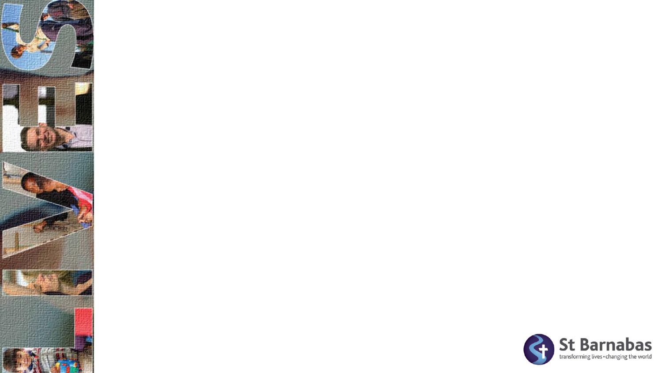

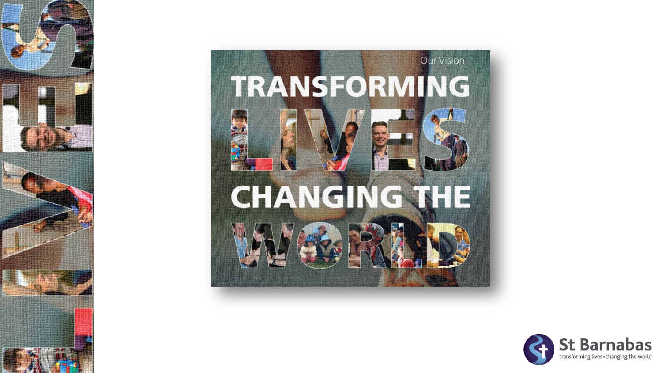



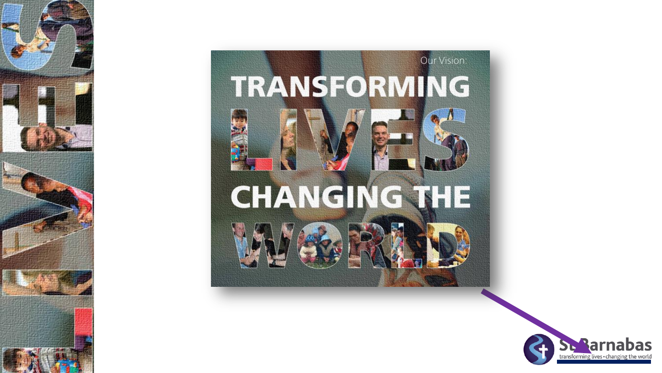



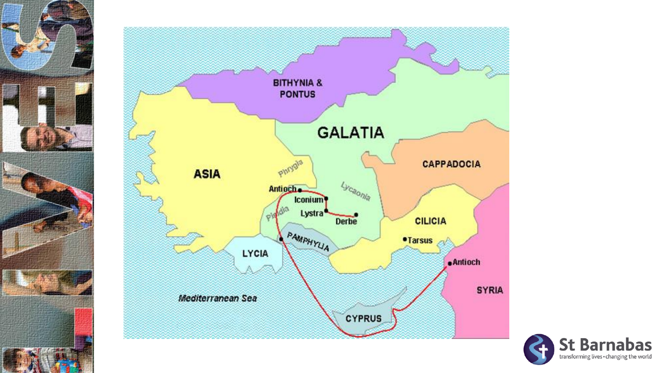



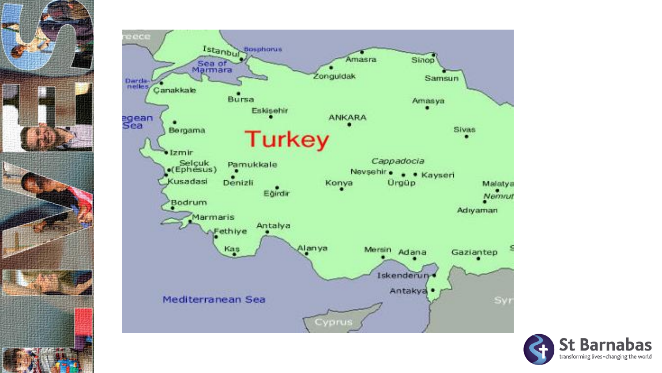



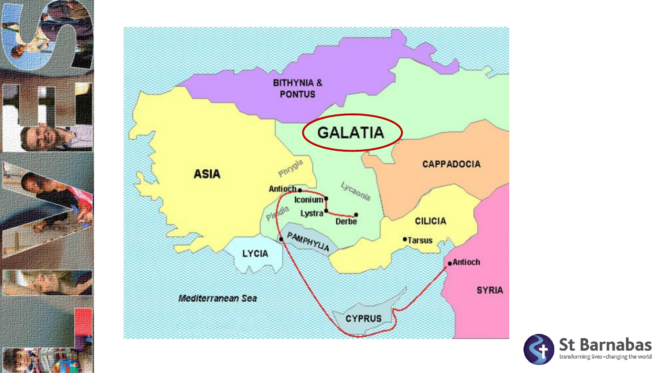



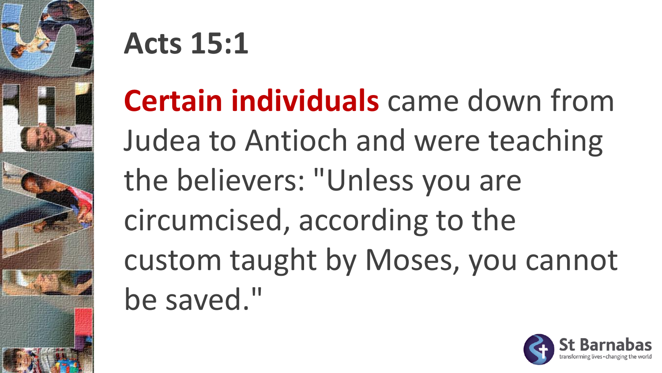

#### **Acts 15:1**

**Certain individuals** came down from Judea to Antioch and were teaching the believers: "Unless you are circumcised, according to the custom taught by Moses, you cannot be saved."

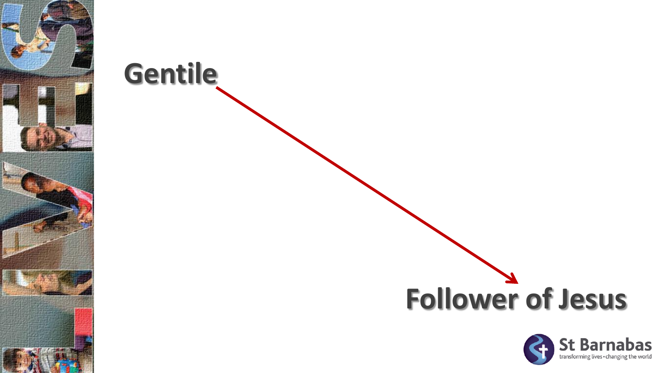

**Gentile**

# **Follower of Jesus**

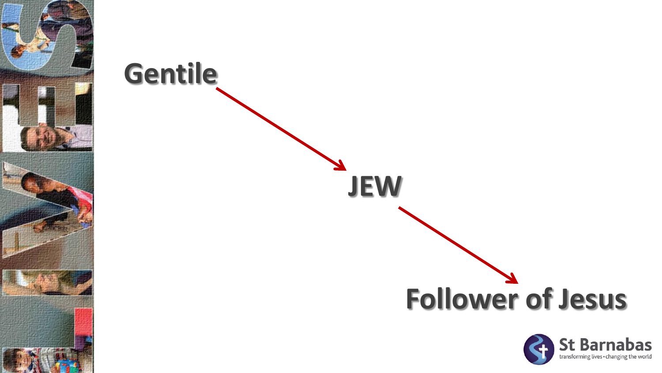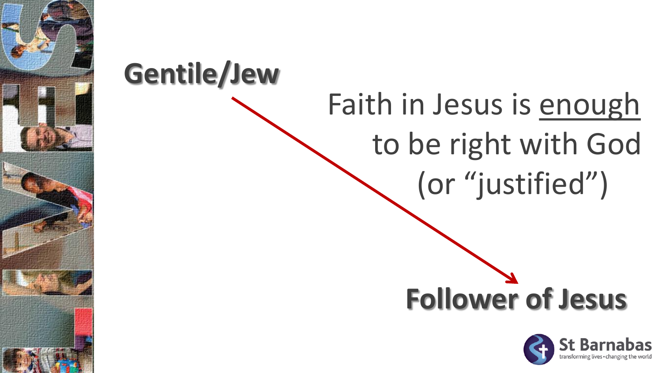

#### **Gentile/Jew**

# Faith in Jesus is enough

#### to be right with God

(or "justified")

## **Follower of Jesus**

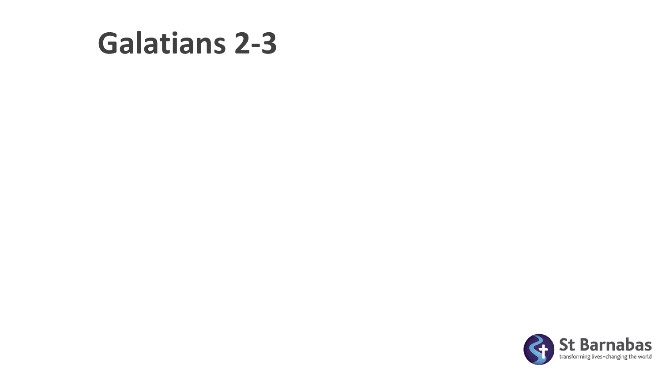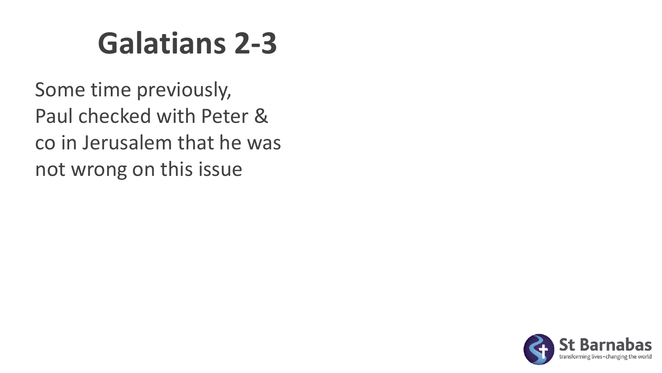Some time previously, Paul checked with Peter & co in Jerusalem that he was not wrong on this issue

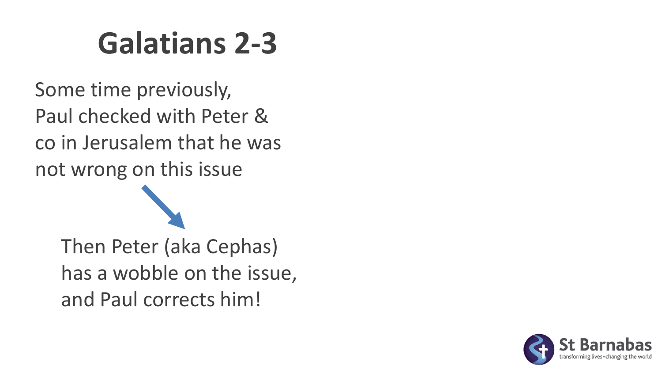Some time previously, Paul checked with Peter & co in Jerusalem that he was not wrong on this issue

Then Peter (aka Cephas) has a wobble on the issue, and Paul corrects him!

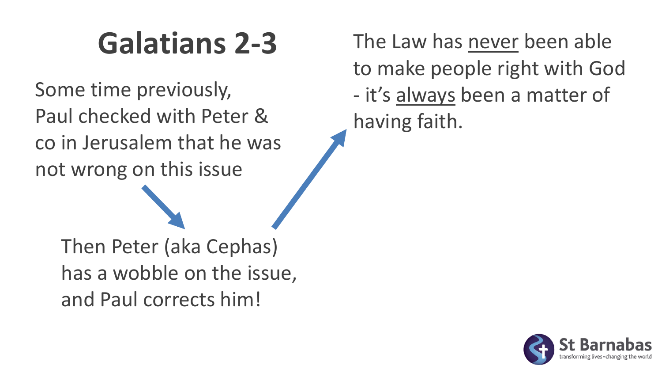Some time previously, Paul checked with Peter & co in Jerusalem that he was not wrong on this issue

Then Peter (aka Cephas) has a wobble on the issue, and Paul corrects him!

The Law has never been able to make people right with God - it's always been a matter of having faith.

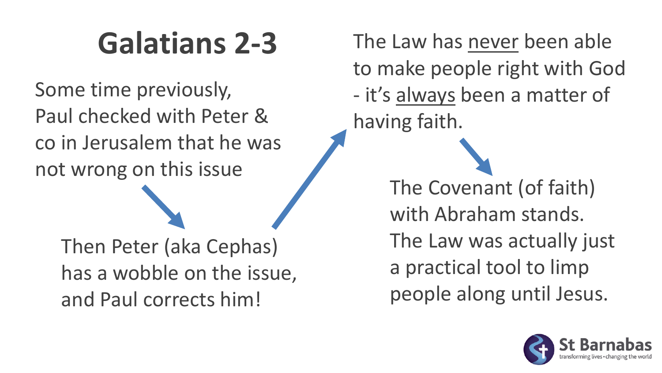Some time previously, Paul checked with Peter & co in Jerusalem that he was not wrong on this issue

Then Peter (aka Cephas) has a wobble on the issue, and Paul corrects him!

The Law has never been able to make people right with God - it's always been a matter of having faith.

> The Covenant (of faith) with Abraham stands. The Law was actually just a practical tool to limp people along until Jesus.

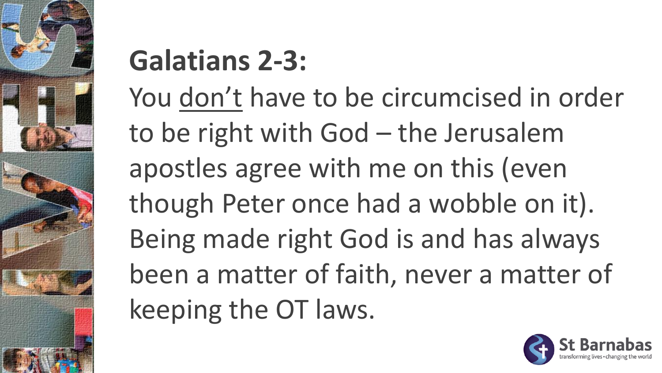

You don't have to be circumcised in order to be right with God – the Jerusalem apostles agree with me on this (even though Peter once had a wobble on it). Being made right God is and has always been a matter of faith, never a matter of keeping the OT laws.

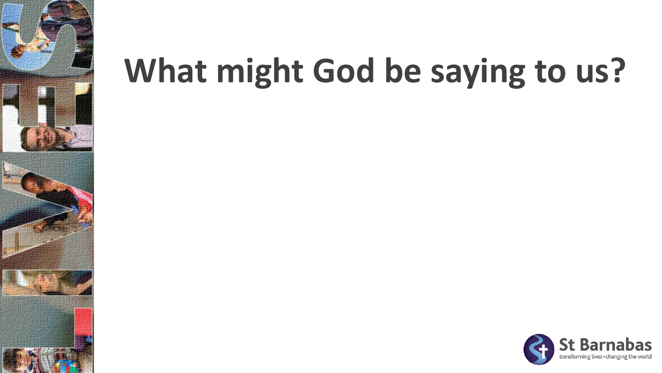

### **What might God be saying to us?**